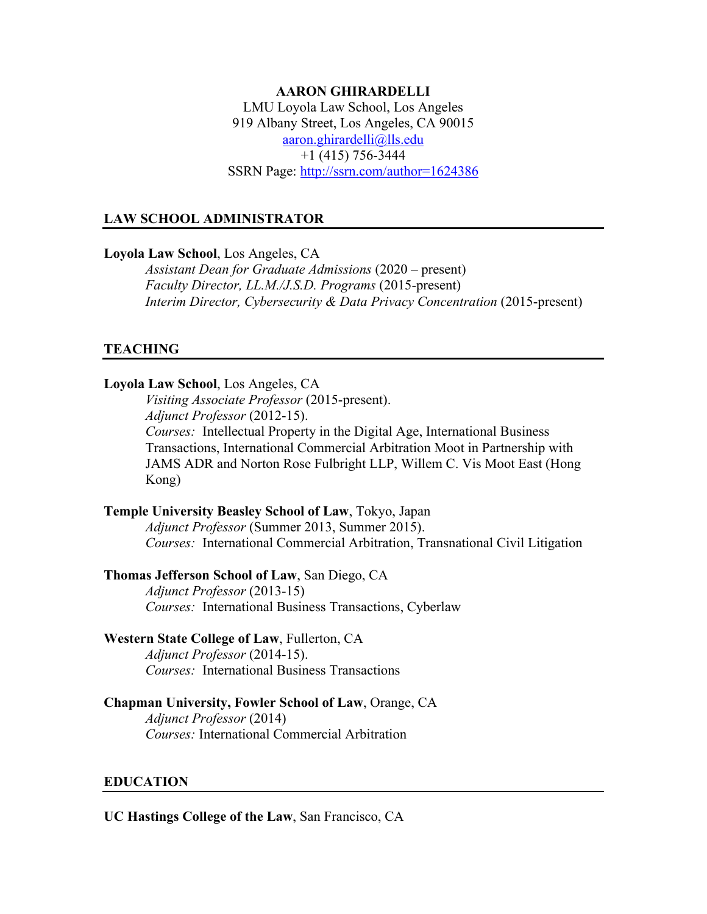## **AARON GHIRARDELLI** LMU Loyola Law School, Los Angeles 919 Albany Street, Los Angeles, CA 90015 [aaron.ghirardelli@lls.edu](mailto:aaron.ghirardelli@lls.edu)  $+1$  (415) 756-3444 SSRN Page:<http://ssrn.com/author=1624386>

## **LAW SCHOOL ADMINISTRATOR**

**Loyola Law School**, Los Angeles, CA

*Assistant Dean for Graduate Admissions* (2020 – present) *Faculty Director, LL.M./J.S.D. Programs* (2015-present) *Interim Director, Cybersecurity & Data Privacy Concentration (2015-present)* 

## **TEACHING**

#### **Loyola Law School**, Los Angeles, CA

*Visiting Associate Professor* (2015-present). *Adjunct Professor* (2012-15). *Courses:* Intellectual Property in the Digital Age, International Business Transactions, International Commercial Arbitration Moot in Partnership with JAMS ADR and Norton Rose Fulbright LLP, Willem C. Vis Moot East (Hong Kong)

**Temple University Beasley School of Law**, Tokyo, Japan *Adjunct Professor* (Summer 2013, Summer 2015). *Courses:* International Commercial Arbitration, Transnational Civil Litigation

#### **Thomas Jefferson School of Law**, San Diego, CA

*Adjunct Professor* (2013-15) *Courses:* International Business Transactions, Cyberlaw

#### **Western State College of Law**, Fullerton, CA

*Adjunct Professor* (2014-15). *Courses:* International Business Transactions

# **Chapman University, Fowler School of Law**, Orange, CA

*Adjunct Professor* (2014) *Courses:* International Commercial Arbitration

## **EDUCATION**

**UC Hastings College of the Law**, San Francisco, CA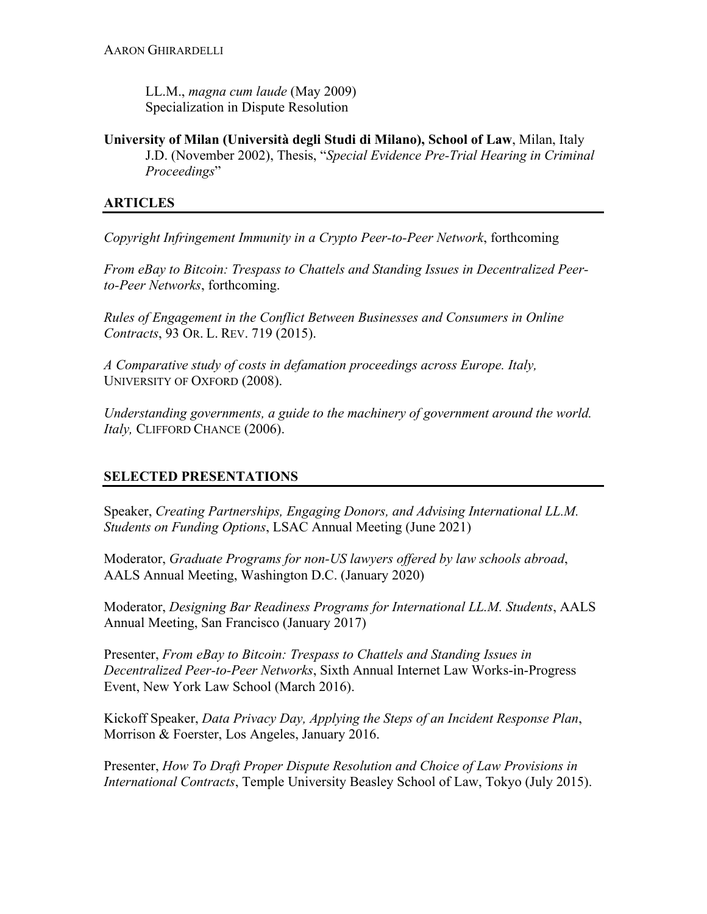LL.M., *magna cum laude* (May 2009) Specialization in Dispute Resolution

**University of Milan (Università degli Studi di Milano), School of Law**, Milan, Italy J.D. (November 2002), Thesis, "*Special Evidence Pre-Trial Hearing in Criminal Proceedings*"

# **ARTICLES**

*Copyright Infringement Immunity in a Crypto Peer-to-Peer Network*, forthcoming

*From eBay to Bitcoin: Trespass to Chattels and Standing Issues in Decentralized Peerto-Peer Networks*, forthcoming.

*Rules of Engagement in the Conflict Between Businesses and Consumers in Online Contracts*, 93 OR. L. REV. 719 (2015).

*A Comparative study of costs in defamation proceedings across Europe. Italy,* UNIVERSITY OF OXFORD (2008).

*Understanding governments, a guide to the machinery of government around the world. Italy,* CLIFFORD CHANCE (2006).

# **SELECTED PRESENTATIONS**

Speaker, *Creating Partnerships, Engaging Donors, and Advising International LL.M. Students on Funding Options*, LSAC Annual Meeting (June 2021)

Moderator, *Graduate Programs for non-US lawyers offered by law schools abroad*, AALS Annual Meeting, Washington D.C. (January 2020)

Moderator, *Designing Bar Readiness Programs for International LL.M. Students*, AALS Annual Meeting, San Francisco (January 2017)

Presenter, *From eBay to Bitcoin: Trespass to Chattels and Standing Issues in Decentralized Peer-to-Peer Networks*, Sixth Annual Internet Law Works-in-Progress Event, New York Law School (March 2016).

Kickoff Speaker, *Data Privacy Day, Applying the Steps of an Incident Response Plan*, Morrison & Foerster, Los Angeles, January 2016.

Presenter, *How To Draft Proper Dispute Resolution and Choice of Law Provisions in International Contracts*, Temple University Beasley School of Law, Tokyo (July 2015).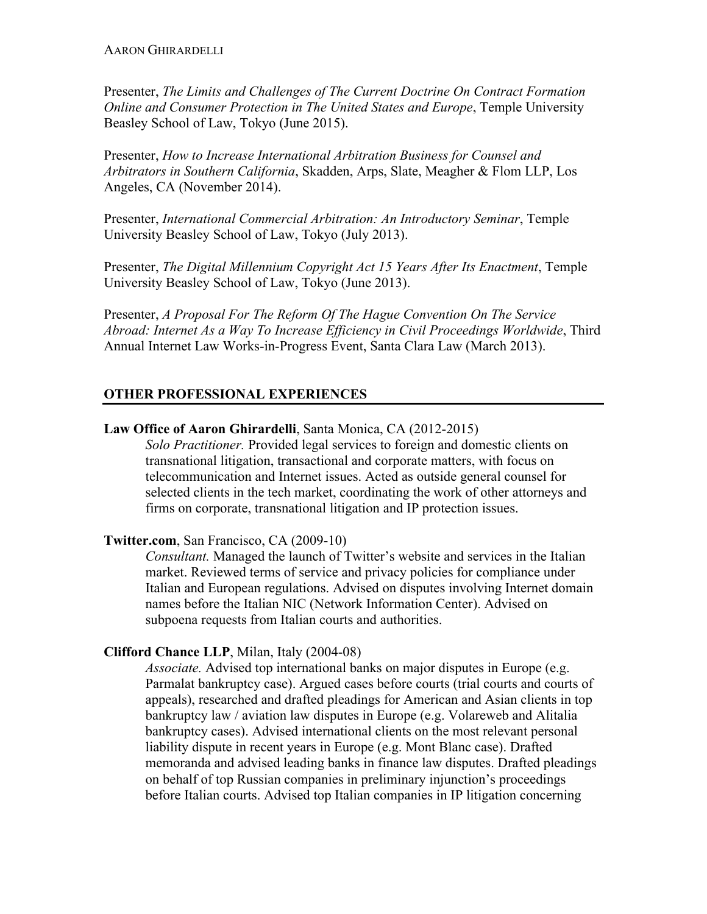Presenter, *The Limits and Challenges of The Current Doctrine On Contract Formation Online and Consumer Protection in The United States and Europe*, Temple University Beasley School of Law, Tokyo (June 2015).

Presenter, *How to Increase International Arbitration Business for Counsel and Arbitrators in Southern California*, Skadden, Arps, Slate, Meagher & Flom LLP, Los Angeles, CA (November 2014).

Presenter, *International Commercial Arbitration: An Introductory Seminar*, Temple University Beasley School of Law, Tokyo (July 2013).

Presenter, *The Digital Millennium Copyright Act 15 Years After Its Enactment*, Temple University Beasley School of Law, Tokyo (June 2013).

Presenter, *A Proposal For The Reform Of The Hague Convention On The Service Abroad: Internet As a Way To Increase Efficiency in Civil Proceedings Worldwide*, Third Annual Internet Law Works-in-Progress Event, Santa Clara Law (March 2013).

# **OTHER PROFESSIONAL EXPERIENCES**

## **Law Office of Aaron Ghirardelli**, Santa Monica, CA (2012-2015)

*Solo Practitioner.* Provided legal services to foreign and domestic clients on transnational litigation, transactional and corporate matters, with focus on telecommunication and Internet issues. Acted as outside general counsel for selected clients in the tech market, coordinating the work of other attorneys and firms on corporate, transnational litigation and IP protection issues.

## **Twitter.com**, San Francisco, CA (2009-10)

*Consultant.* Managed the launch of Twitter's website and services in the Italian market. Reviewed terms of service and privacy policies for compliance under Italian and European regulations. Advised on disputes involving Internet domain names before the Italian NIC (Network Information Center). Advised on subpoena requests from Italian courts and authorities.

## **Clifford Chance LLP**, Milan, Italy (2004-08)

*Associate.* Advised top international banks on major disputes in Europe (e.g. Parmalat bankruptcy case). Argued cases before courts (trial courts and courts of appeals), researched and drafted pleadings for American and Asian clients in top bankruptcy law / aviation law disputes in Europe (e.g. Volareweb and Alitalia bankruptcy cases). Advised international clients on the most relevant personal liability dispute in recent years in Europe (e.g. Mont Blanc case). Drafted memoranda and advised leading banks in finance law disputes. Drafted pleadings on behalf of top Russian companies in preliminary injunction's proceedings before Italian courts. Advised top Italian companies in IP litigation concerning